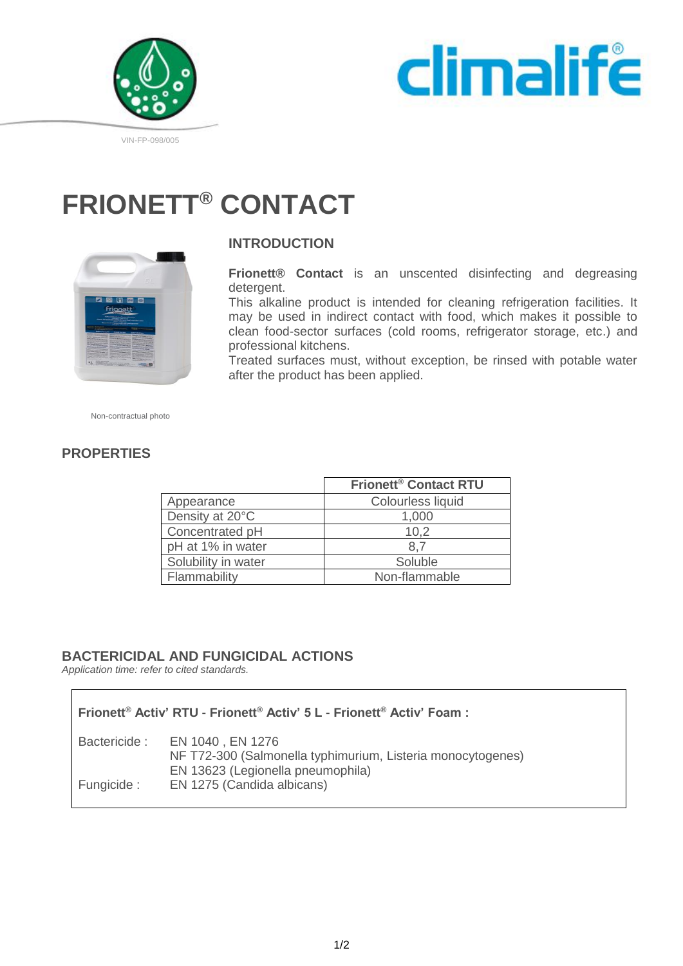



# **FRIONETT® CONTACT**



# **INTRODUCTION**

**Frionett® Contact** is an unscented disinfecting and degreasing detergent.

This alkaline product is intended for cleaning refrigeration facilities. It may be used in indirect contact with food, which makes it possible to clean food-sector surfaces (cold rooms, refrigerator storage, etc.) and professional kitchens.

Treated surfaces must, without exception, be rinsed with potable water after the product has been applied.

Non-contractual photo

# **PROPERTIES**

|                     | <b>Frionett<sup>®</sup> Contact RTU</b> |
|---------------------|-----------------------------------------|
| Appearance          | Colourless liquid                       |
| Density at 20°C     | 1,000                                   |
| Concentrated pH     | 10,2                                    |
| pH at 1% in water   | 8.7                                     |
| Solubility in water | Soluble                                 |
| Flammability        | Non-flammable                           |
|                     |                                         |

### **BACTERICIDAL AND FUNGICIDAL ACTIONS**

*Application time: refer to cited standards.*

| Frionett® Activ' RTU - Frionett® Activ' 5 L - Frionett® Activ' Foam : |                                                                                                                                   |
|-----------------------------------------------------------------------|-----------------------------------------------------------------------------------------------------------------------------------|
|                                                                       | Bactericide: EN 1040, EN 1276<br>NF T72-300 (Salmonella typhimurium, Listeria monocytogenes)<br>EN 13623 (Legionella pneumophila) |
| Fungicide :                                                           | EN 1275 (Candida albicans)                                                                                                        |